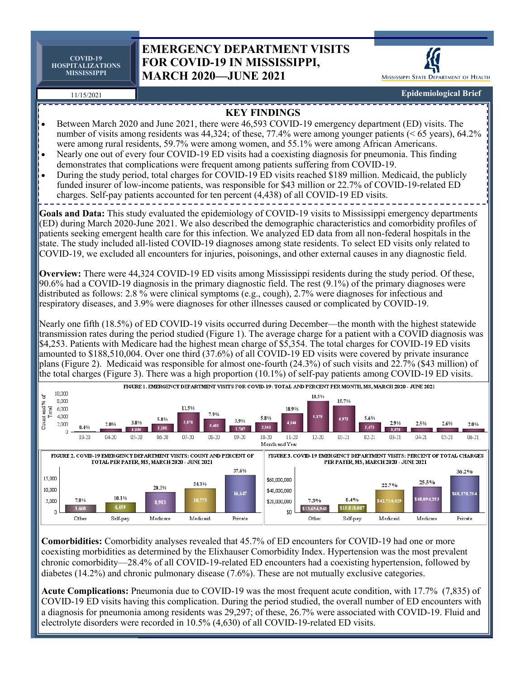**COVID-19 HOSPITALIZATIONS MISSISSIPPI**

## **EMERGENCY DEPARTMENT VISITS FOR COVID-19 IN MISSISSIPPI, MARCH 2020—JUNE 2021**



**Epidemiological Brief**

## 11/15/2021



**Comorbidities:** Comorbidity analyses revealed that 45.7% of ED encounters for COVID-19 had one or more coexisting morbidities as determined by the Elixhauser Comorbidity Index. Hypertension was the most prevalent chronic comorbidity—28.4% of all COVID-19-related ED encounters had a coexisting hypertension, followed by diabetes (14.2%) and chronic pulmonary disease (7.6%). These are not mutually exclusive categories.

**Acute Complications:** Pneumonia due to COVID-19 was the most frequent acute condition, with 17.7% (7,835) of COVID-19 ED visits having this complication. During the period studied, the overall number of ED encounters with a diagnosis for pneumonia among residents was 29,297; of these, 26.7% were associated with COVID-19. Fluid and electrolyte disorders were recorded in 10.5% (4,630) of all COVID-19-related ED visits.